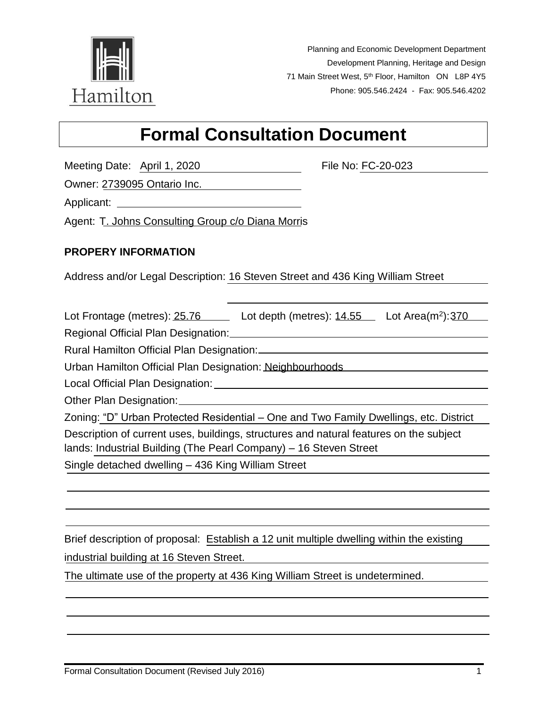

Planning and Economic Development Department Development Planning, Heritage and Design 71 Main Street West, 5<sup>th</sup> Floor, Hamilton ON L8P 4Y5 Phone: 905.546.2424 - Fax: 905.546.4202

# **Formal Consultation Document**

Meeting Date: April 1, 2020 File No: FC-20-023

Owner: 2739095 Ontario Inc.

Applicant: Applicant: Applicant: Applicant: Applicant: Applicant: Applicant: Applicant: Applicant: Applicant: Applicant: Applicant: Applicant: Applicant: Applicant: Applicant: Applicant: Applicant: Applicant: Applicant: Ap

Agent: T. Johns Consulting Group c/o Diana Morris

## **PROPERY INFORMATION**

Address and/or Legal Description: 16 Steven Street and 436 King William Street

Lot Frontage (metres):  $25.76$  Lot depth (metres):  $14.55$  Lot Area(m<sup>2</sup>):  $370$ 

Regional Official Plan Designation: Channel Communication and Designation:

Rural Hamilton Official Plan Designation:

Urban Hamilton Official Plan Designation: Neighbourhoods

Local Official Plan Designation:

Other Plan Designation: 2008 2014

Zoning: "D" Urban Protected Residential – One and Two Family Dwellings, etc. District

Description of current uses, buildings, structures and natural features on the subject lands: Industrial Building (The Pearl Company) – 16 Steven Street

Single detached dwelling – 436 King William Street

Brief description of proposal: Establish a 12 unit multiple dwelling within the existing industrial building at 16 Steven Street.

The ultimate use of the property at 436 King William Street is undetermined.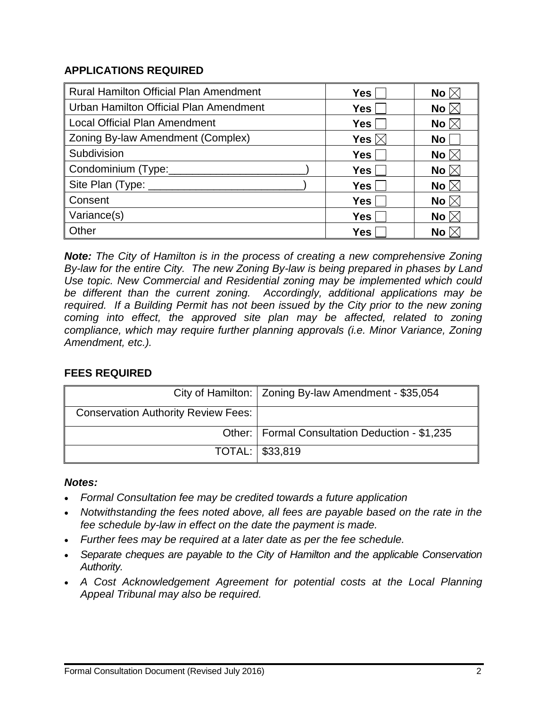## **APPLICATIONS REQUIRED**

| <b>Rural Hamilton Official Plan Amendment</b> | <b>Yes</b>      | No $\boxtimes$      |
|-----------------------------------------------|-----------------|---------------------|
| Urban Hamilton Official Plan Amendment        | Yes             | No $\boxtimes$      |
| <b>Local Official Plan Amendment</b>          | <b>Yes</b>      | No $\boxtimes$      |
| Zoning By-law Amendment (Complex)             | Yes $\boxtimes$ | No <sub>1</sub>     |
| Subdivision                                   | <b>Yes</b>      | No $\boxtimes$      |
| Condominium (Type:                            | Yes             | No $\boxtimes$      |
| Site Plan (Type: ______                       | Yes             | No $\boxtimes$      |
| Consent                                       | <b>Yes</b>      | No $\boxtimes$      |
| Variance(s)                                   | <b>Yes</b>      | No $\boxtimes$      |
| Other                                         | Yes             | No $\triangleright$ |

*Note: The City of Hamilton is in the process of creating a new comprehensive Zoning By-law for the entire City. The new Zoning By-law is being prepared in phases by Land Use topic. New Commercial and Residential zoning may be implemented which could be different than the current zoning. Accordingly, additional applications may be required.* If a Building Permit has not been issued by the City prior to the new zoning *coming into effect, the approved site plan may be affected, related to zoning compliance, which may require further planning approvals (i.e. Minor Variance, Zoning Amendment, etc.).*

# **FEES REQUIRED**

|                                            | City of Hamilton:   Zoning By-law Amendment - \$35,054 |
|--------------------------------------------|--------------------------------------------------------|
| <b>Conservation Authority Review Fees:</b> |                                                        |
|                                            | Other:   Formal Consultation Deduction - \$1,235       |
|                                            | TOTAL: \ \$33,819                                      |

## *Notes:*

- *Formal Consultation fee may be credited towards a future application*
- *Notwithstanding the fees noted above, all fees are payable based on the rate in the fee schedule by-law in effect on the date the payment is made.*
- *Further fees may be required at a later date as per the fee schedule.*
- *Separate cheques are payable to the City of Hamilton and the applicable Conservation Authority.*
- *A Cost Acknowledgement Agreement for potential costs at the Local Planning Appeal Tribunal may also be required.*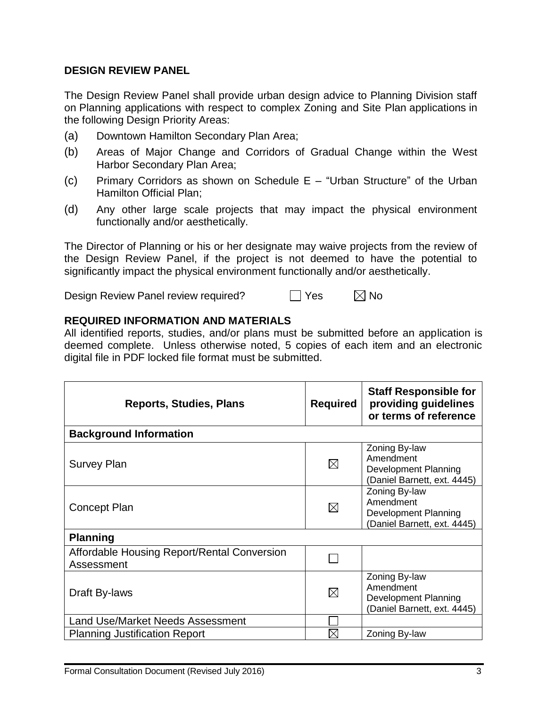#### **DESIGN REVIEW PANEL**

The Design Review Panel shall provide urban design advice to Planning Division staff on Planning applications with respect to complex Zoning and Site Plan applications in the following Design Priority Areas:

- (a) Downtown Hamilton Secondary Plan Area;
- (b) Areas of Major Change and Corridors of Gradual Change within the West Harbor Secondary Plan Area;
- (c) Primary Corridors as shown on Schedule E "Urban Structure" of the Urban Hamilton Official Plan;
- (d) Any other large scale projects that may impact the physical environment functionally and/or aesthetically.

The Director of Planning or his or her designate may waive projects from the review of the Design Review Panel, if the project is not deemed to have the potential to significantly impact the physical environment functionally and/or aesthetically.

Design Review Panel review required?  $\Box$  Yes  $\Box$  No

#### **REQUIRED INFORMATION AND MATERIALS**

All identified reports, studies, and/or plans must be submitted before an application is deemed complete. Unless otherwise noted, 5 copies of each item and an electronic digital file in PDF locked file format must be submitted.

| <b>Reports, Studies, Plans</b>                            | <b>Required</b> | <b>Staff Responsible for</b><br>providing guidelines<br>or terms of reference     |
|-----------------------------------------------------------|-----------------|-----------------------------------------------------------------------------------|
| <b>Background Information</b>                             |                 |                                                                                   |
| <b>Survey Plan</b>                                        | $\boxtimes$     | Zoning By-law<br>Amendment<br>Development Planning<br>(Daniel Barnett, ext. 4445) |
| <b>Concept Plan</b>                                       | $\boxtimes$     | Zoning By-law<br>Amendment<br>Development Planning<br>(Daniel Barnett, ext. 4445) |
| <b>Planning</b>                                           |                 |                                                                                   |
| Affordable Housing Report/Rental Conversion<br>Assessment |                 |                                                                                   |
| Draft By-laws                                             | $\boxtimes$     | Zoning By-law<br>Amendment<br>Development Planning<br>(Daniel Barnett, ext. 4445) |
| <b>Land Use/Market Needs Assessment</b>                   |                 |                                                                                   |
| <b>Planning Justification Report</b>                      | $\boxtimes$     | Zoning By-law                                                                     |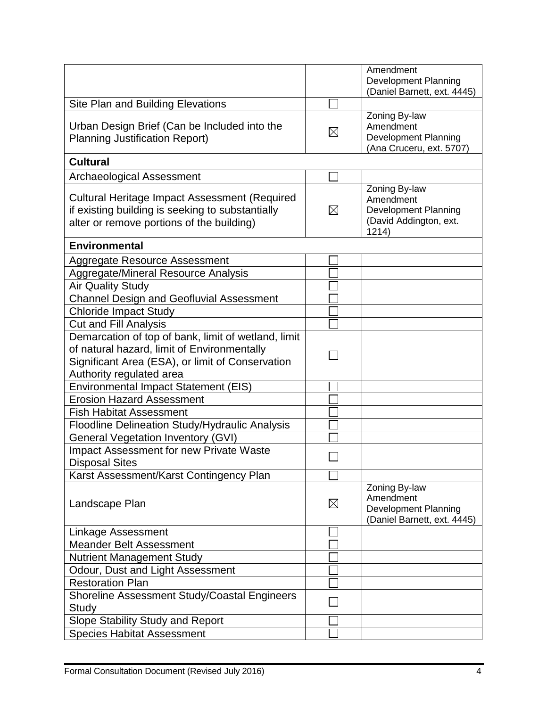|                                                      |             | Amendment                                             |
|------------------------------------------------------|-------------|-------------------------------------------------------|
|                                                      |             | <b>Development Planning</b>                           |
|                                                      |             | (Daniel Barnett, ext. 4445)                           |
| Site Plan and Building Elevations                    |             | Zoning By-law                                         |
| Urban Design Brief (Can be Included into the         |             | Amendment                                             |
| <b>Planning Justification Report)</b>                | $\boxtimes$ | Development Planning                                  |
|                                                      |             | (Ana Cruceru, ext. 5707)                              |
| <b>Cultural</b>                                      |             |                                                       |
| <b>Archaeological Assessment</b>                     |             |                                                       |
|                                                      |             | Zoning By-law                                         |
| <b>Cultural Heritage Impact Assessment (Required</b> |             | Amendment                                             |
| if existing building is seeking to substantially     | $\boxtimes$ | <b>Development Planning</b><br>(David Addington, ext. |
| alter or remove portions of the building)            |             | 1214)                                                 |
| <b>Environmental</b>                                 |             |                                                       |
| Aggregate Resource Assessment                        |             |                                                       |
| Aggregate/Mineral Resource Analysis                  |             |                                                       |
| <b>Air Quality Study</b>                             |             |                                                       |
| <b>Channel Design and Geofluvial Assessment</b>      |             |                                                       |
| <b>Chloride Impact Study</b>                         |             |                                                       |
| <b>Cut and Fill Analysis</b>                         |             |                                                       |
| Demarcation of top of bank, limit of wetland, limit  |             |                                                       |
| of natural hazard, limit of Environmentally          |             |                                                       |
| Significant Area (ESA), or limit of Conservation     |             |                                                       |
| Authority regulated area                             |             |                                                       |
| <b>Environmental Impact Statement (EIS)</b>          |             |                                                       |
| <b>Erosion Hazard Assessment</b>                     |             |                                                       |
| <b>Fish Habitat Assessment</b>                       |             |                                                       |
| Floodline Delineation Study/Hydraulic Analysis       |             |                                                       |
| <b>General Vegetation Inventory (GVI)</b>            |             |                                                       |
| <b>Impact Assessment for new Private Waste</b>       |             |                                                       |
| <b>Disposal Sites</b>                                |             |                                                       |
| Karst Assessment/Karst Contingency Plan              |             |                                                       |
|                                                      |             | Zoning By-law                                         |
| Landscape Plan                                       | $\boxtimes$ | Amendment<br><b>Development Planning</b>              |
|                                                      |             | (Daniel Barnett, ext. 4445)                           |
| Linkage Assessment                                   |             |                                                       |
| <b>Meander Belt Assessment</b>                       |             |                                                       |
| <b>Nutrient Management Study</b>                     |             |                                                       |
| Odour, Dust and Light Assessment                     |             |                                                       |
| <b>Restoration Plan</b>                              |             |                                                       |
| Shoreline Assessment Study/Coastal Engineers         |             |                                                       |
| Study                                                |             |                                                       |
| Slope Stability Study and Report                     |             |                                                       |
| <b>Species Habitat Assessment</b>                    |             |                                                       |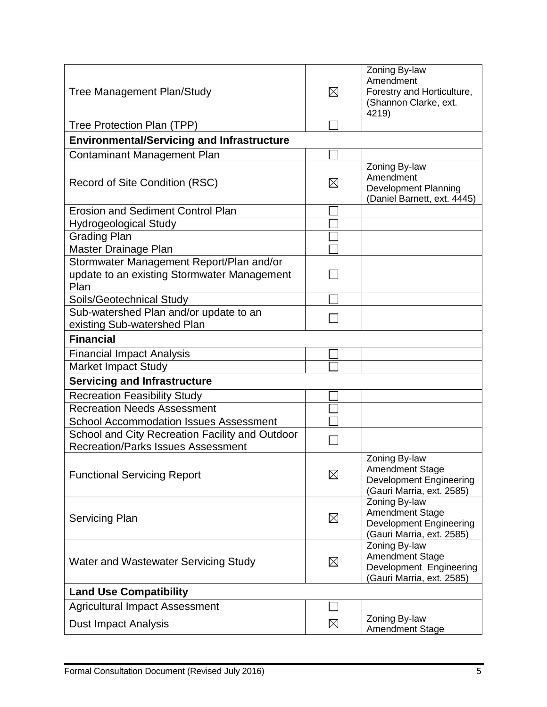| <b>Tree Management Plan/Study</b>                 | $\times$    | Zoning By-law<br>Amendment<br>Forestry and Horticulture,<br>(Shannon Clarke, ext.<br>4219)             |
|---------------------------------------------------|-------------|--------------------------------------------------------------------------------------------------------|
| Tree Protection Plan (TPP)                        |             |                                                                                                        |
| <b>Environmental/Servicing and Infrastructure</b> |             |                                                                                                        |
| <b>Contaminant Management Plan</b>                |             |                                                                                                        |
| Record of Site Condition (RSC)                    | $\boxtimes$ | Zoning By-law<br>Amendment<br><b>Development Planning</b><br>(Daniel Barnett, ext. 4445)               |
| <b>Erosion and Sediment Control Plan</b>          |             |                                                                                                        |
| <b>Hydrogeological Study</b>                      |             |                                                                                                        |
| <b>Grading Plan</b>                               |             |                                                                                                        |
| Master Drainage Plan                              |             |                                                                                                        |
| Stormwater Management Report/Plan and/or          |             |                                                                                                        |
| update to an existing Stormwater Management       |             |                                                                                                        |
| Plan                                              |             |                                                                                                        |
| Soils/Geotechnical Study                          |             |                                                                                                        |
| Sub-watershed Plan and/or update to an            |             |                                                                                                        |
| existing Sub-watershed Plan                       |             |                                                                                                        |
| <b>Financial</b>                                  |             |                                                                                                        |
| <b>Financial Impact Analysis</b>                  |             |                                                                                                        |
| <b>Market Impact Study</b>                        |             |                                                                                                        |
| <b>Servicing and Infrastructure</b>               |             |                                                                                                        |
| <b>Recreation Feasibility Study</b>               |             |                                                                                                        |
| <b>Recreation Needs Assessment</b>                |             |                                                                                                        |
| <b>School Accommodation Issues Assessment</b>     |             |                                                                                                        |
| School and City Recreation Facility and Outdoor   |             |                                                                                                        |
| <b>Recreation/Parks Issues Assessment</b>         |             |                                                                                                        |
| <b>Functional Servicing Report</b>                | $\boxtimes$ | Zoning By-law<br><b>Amendment Stage</b><br><b>Development Engineering</b><br>(Gauri Marria, ext. 2585) |
| <b>Servicing Plan</b>                             | $\boxtimes$ | Zoning By-law<br><b>Amendment Stage</b><br><b>Development Engineering</b><br>(Gauri Marria, ext. 2585) |
| Water and Wastewater Servicing Study              | $\boxtimes$ | Zoning By-law<br><b>Amendment Stage</b><br>Development Engineering<br>(Gauri Marria, ext. 2585)        |
| <b>Land Use Compatibility</b>                     |             |                                                                                                        |
| <b>Agricultural Impact Assessment</b>             |             |                                                                                                        |
| <b>Dust Impact Analysis</b>                       | $\boxtimes$ | Zoning By-law<br><b>Amendment Stage</b>                                                                |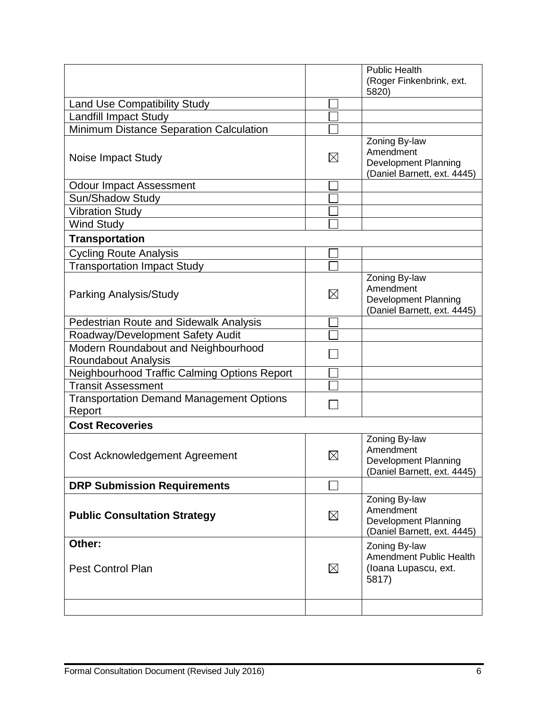|                                                            |             | <b>Public Health</b>                                                                     |
|------------------------------------------------------------|-------------|------------------------------------------------------------------------------------------|
|                                                            |             | (Roger Finkenbrink, ext.<br>5820)                                                        |
| Land Use Compatibility Study                               |             |                                                                                          |
| <b>Landfill Impact Study</b>                               |             |                                                                                          |
| Minimum Distance Separation Calculation                    |             |                                                                                          |
| Noise Impact Study                                         | $\boxtimes$ | Zoning By-law<br>Amendment<br><b>Development Planning</b><br>(Daniel Barnett, ext. 4445) |
| <b>Odour Impact Assessment</b>                             |             |                                                                                          |
| Sun/Shadow Study                                           |             |                                                                                          |
| <b>Vibration Study</b>                                     |             |                                                                                          |
| <b>Wind Study</b>                                          |             |                                                                                          |
| <b>Transportation</b>                                      |             |                                                                                          |
| <b>Cycling Route Analysis</b>                              |             |                                                                                          |
| <b>Transportation Impact Study</b>                         |             |                                                                                          |
| Parking Analysis/Study                                     | $\boxtimes$ | Zoning By-law<br>Amendment<br><b>Development Planning</b><br>(Daniel Barnett, ext. 4445) |
| Pedestrian Route and Sidewalk Analysis                     |             |                                                                                          |
| Roadway/Development Safety Audit                           |             |                                                                                          |
| Modern Roundabout and Neighbourhood<br>Roundabout Analysis |             |                                                                                          |
| Neighbourhood Traffic Calming Options Report               |             |                                                                                          |
| <b>Transit Assessment</b>                                  |             |                                                                                          |
| <b>Transportation Demand Management Options</b><br>Report  |             |                                                                                          |
| <b>Cost Recoveries</b>                                     |             |                                                                                          |
| Cost Acknowledgement Agreement                             | $\boxtimes$ | Zoning By-law<br>Amendment<br>Development Planning<br>(Daniel Barnett, ext. 4445)        |
| <b>DRP Submission Requirements</b>                         |             |                                                                                          |
| <b>Public Consultation Strategy</b>                        | $\boxtimes$ | Zoning By-law<br>Amendment<br><b>Development Planning</b><br>(Daniel Barnett, ext. 4445) |
| Other:<br><b>Pest Control Plan</b>                         | $\boxtimes$ | Zoning By-law<br><b>Amendment Public Health</b><br>(Ioana Lupascu, ext.<br>5817)         |
|                                                            |             |                                                                                          |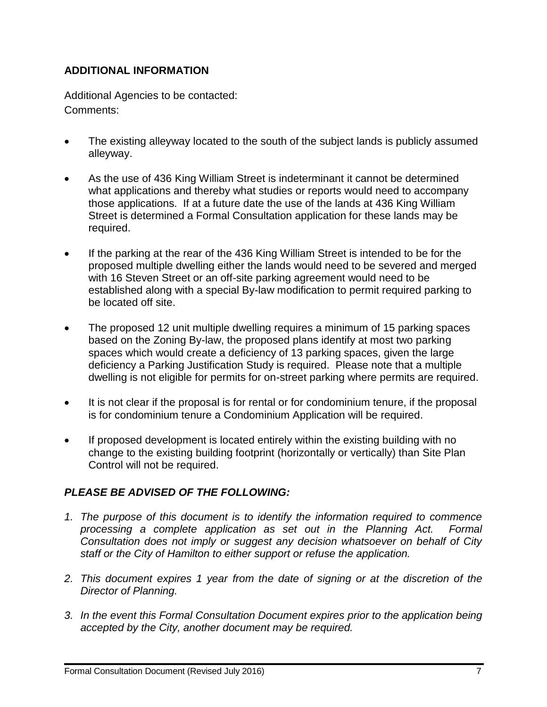# **ADDITIONAL INFORMATION**

Additional Agencies to be contacted: Comments:

- The existing alleyway located to the south of the subject lands is publicly assumed alleyway.
- As the use of 436 King William Street is indeterminant it cannot be determined what applications and thereby what studies or reports would need to accompany those applications. If at a future date the use of the lands at 436 King William Street is determined a Formal Consultation application for these lands may be required.
- If the parking at the rear of the 436 King William Street is intended to be for the proposed multiple dwelling either the lands would need to be severed and merged with 16 Steven Street or an off-site parking agreement would need to be established along with a special By-law modification to permit required parking to be located off site.
- The proposed 12 unit multiple dwelling requires a minimum of 15 parking spaces based on the Zoning By-law, the proposed plans identify at most two parking spaces which would create a deficiency of 13 parking spaces, given the large deficiency a Parking Justification Study is required. Please note that a multiple dwelling is not eligible for permits for on-street parking where permits are required.
- It is not clear if the proposal is for rental or for condominium tenure, if the proposal is for condominium tenure a Condominium Application will be required.
- If proposed development is located entirely within the existing building with no change to the existing building footprint (horizontally or vertically) than Site Plan Control will not be required.

# *PLEASE BE ADVISED OF THE FOLLOWING:*

- *1. The purpose of this document is to identify the information required to commence processing a complete application as set out in the Planning Act. Formal Consultation does not imply or suggest any decision whatsoever on behalf of City staff or the City of Hamilton to either support or refuse the application.*
- *2. This document expires 1 year from the date of signing or at the discretion of the Director of Planning.*
- *3. In the event this Formal Consultation Document expires prior to the application being accepted by the City, another document may be required.*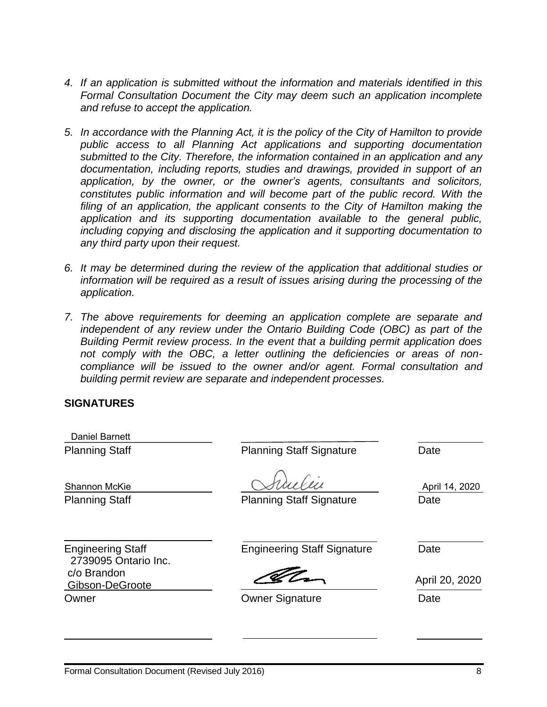- *4. If an application is submitted without the information and materials identified in this Formal Consultation Document the City may deem such an application incomplete and refuse to accept the application.*
- *5. In accordance with the Planning Act, it is the policy of the City of Hamilton to provide public access to all Planning Act applications and supporting documentation submitted to the City. Therefore, the information contained in an application and any documentation, including reports, studies and drawings, provided in support of an application, by the owner, or the owner's agents, consultants and solicitors, constitutes public information and will become part of the public record. With the filing of an application, the applicant consents to the City of Hamilton making the application and its supporting documentation available to the general public, including copying and disclosing the application and it supporting documentation to any third party upon their request.*
- *6. It may be determined during the review of the application that additional studies or information will be required as a result of issues arising during the processing of the application.*
- *7. The above requirements for deeming an application complete are separate and independent of any review under the Ontario Building Code (OBC) as part of the Building Permit review process. In the event that a building permit application does not comply with the OBC, a letter outlining the deficiencies or areas of noncompliance will be issued to the owner and/or agent. Formal consultation and building permit review are separate and independent processes.*

#### **SIGNATURES**

| <b>Daniel Barnett</b>                            |                                    |                        |
|--------------------------------------------------|------------------------------------|------------------------|
| <b>Planning Staff</b>                            | <b>Planning Staff Signature</b>    | Date                   |
| <b>Shannon McKie</b><br><b>Planning Staff</b>    | <b>Planning Staff Signature</b>    | April 14, 2020<br>Date |
| <b>Engineering Staff</b><br>2739095 Ontario Inc. | <b>Engineering Staff Signature</b> | Date                   |
| c/o Brandon<br>Gibson-DeGroote                   |                                    | April 20, 2020         |
| Owner                                            | <b>Owner Signature</b>             | Date                   |
|                                                  |                                    |                        |